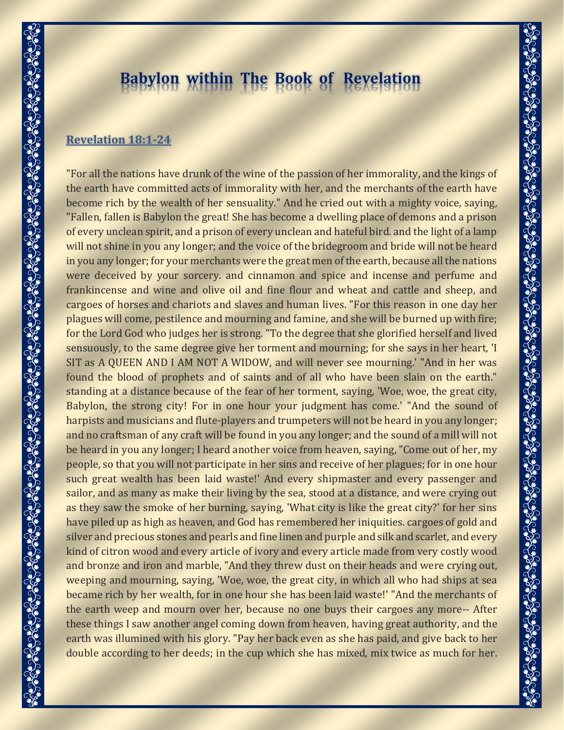# **Babylon within The Book of Revelation**

## **[Revelation](https://bible.knowing-jesus.com/Revelation/18/1) 18:1-24**

"For all the nations have drunk of the wine of the passion of her immorality, and the kings of the earth have committed acts of immorality with her, and the merchants of the earth have become rich by the wealth of her sensuality." And he cried out with a mighty voice, saying, "Fallen, fallen is Babylon the great! She has become a dwelling place of demons and a prison of every unclean spirit, and a prison of every unclean and hateful bird. and the light of a lamp will not shine in you any longer; and the voice of the bridegroom and bride will not be heard in you any longer; for your merchants were the great men of the earth, because all the nations were deceived by your sorcery. and cinnamon and spice and incense and perfume and frankincense and wine and olive oil and fine flour and wheat and cattle and sheep, and cargoes of horses and chariots and slaves and human lives. "For this reason in one day her plagues will come, pestilence and mourning and famine, and she will be burned up with fire; for the Lord God who judges her is strong. "To the degree that she glorified herself and lived sensuously, to the same degree give her torment and mourning; for she says in her heart, 'I SIT as A QUEEN AND I AM NOT A WIDOW, and will never see mourning.' "And in her was found the blood of prophets and of saints and of all who have been slain on the earth." standing at a distance because of the fear of her torment, saying, 'Woe, woe, the great city, Babylon, the strong city! For in one hour your judgment has come.' "And the sound of harpists and musicians and flute-players and trumpeters will not be heard in you any longer; and no craftsman of any craft will be found in you any longer; and the sound of a mill will not be heard in you any longer; I heard another voice from heaven, saying, "Come out of her, my people, so that you will not participate in her sins and receive of her plagues; for in one hour such great wealth has been laid waste!' And every shipmaster and every passenger and sailor, and as many as make their living by the sea, stood at a distance, and were crying out as they saw the smoke of her burning, saying, 'What city is like the great city?' for her sins have piled up as high as heaven, and God has remembered her iniquities. cargoes of gold and silver and precious stones and pearls and fine linen and purple and silk and scarlet, and every kind of citron wood and every article of ivory and every article made from very costly wood and bronze and iron and marble, "And they threw dust on their heads and were crying out, weeping and mourning, saying, 'Woe, woe, the great city, in which all who had ships at sea became rich by her wealth, for in one hour she has been laid waste!' "And the merchants of the earth weep and mourn over her, because no one buys their cargoes any more-- After these things I saw another angel coming down from heaven, having great authority, and the earth was illumined with his glory. "Pay her back even as she has paid, and give back to her double according to her deeds; in the cup which she has mixed, mix twice as much for her.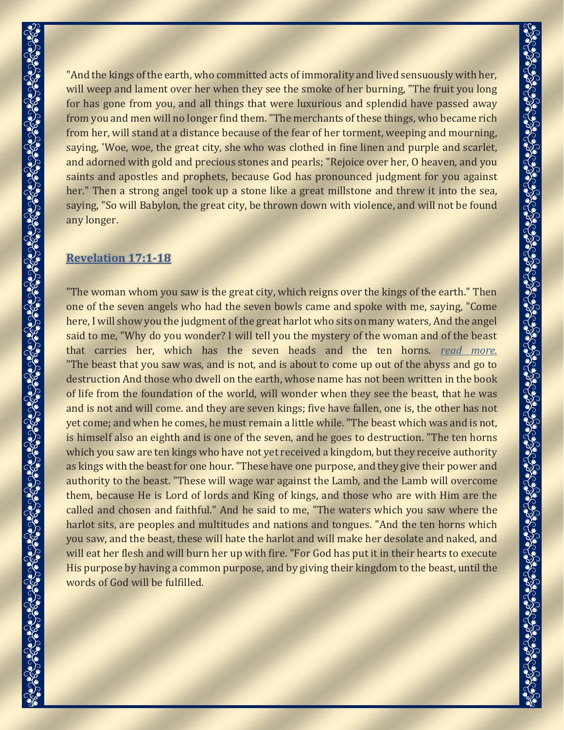"And the kings of the earth, who committed acts of immorality and lived sensuously with her, will weep and lament over her when they see the smoke of her burning, "The fruit you long for has gone from you, and all things that were luxurious and splendid have passed away from you and men will no longer find them."The merchants of these things, who became rich from her, will stand at a distance because of the fear of her torment, weeping and mourning, saying, 'Woe, woe, the great city, she who was clothed in fine linen and purple and scarlet, and adorned with gold and precious stones and pearls; "Rejoice over her, O heaven, and you saints and apostles and prophets, because God has pronounced judgment for you against her." Then a strong angel took up a stone like a great millstone and threw it into the sea, saying, "So will Babylon, the great city, be thrown down with violence, and will not be found any longer.

# **[Revelation](https://bible.knowing-jesus.com/Revelation/17/1) 17:1-18**

"The woman whom you saw is the great city, which reigns over the kings of the earth." Then one of the seven angels who had the seven bowls came and spoke with me, saying, "Come here, I will show you the judgment of the great harlot who sits on many waters, And the angel said to me, "Why do you wonder? I will tell you the mystery of the woman and of the beast that carries her, which has the seven heads and the ten horns. *read [more.](javascript:void();)* "The beast that you saw was, and is not, and is about to come up out of the abyss and go to destruction And those who dwell on the earth, whose name has not been written in the book of life from the foundation of the world, will wonder when they see the beast, that he was and is not and will come. and they are seven kings; five have fallen, one is, the other has not yet come; and when he comes, he must remain a little while."The beast which was and is not, is himself also an eighth and is one of the seven, and he goes to destruction. "The ten horns which you saw are ten kings who have not yet received a kingdom, but they receive authority as kings with the beast for one hour."These have one purpose, and they give their power and authority to the beast. "These will wage war against the Lamb, and the Lamb will overcome them, because He is Lord of lords and King of kings, and those who are with Him are the called and chosen and faithful." And he said to me, "The waters which you saw where the harlot sits, are peoples and multitudes and nations and tongues. "And the ten horns which you saw, and the beast, these will hate the harlot and will make her desolate and naked, and will eat her flesh and will burn her up with fire. "For God has put it in their hearts to execute His purpose by having a common purpose, and by giving their kingdom to the beast, until the words of God will be fulfilled.